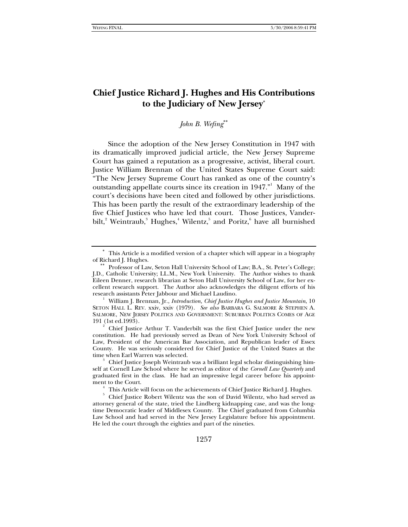# **Chief Justice Richard J. Hughes and His Contributions to the Judiciary of New Jersey**<sup>∗</sup>

*John B. Wefing*∗∗

Since the adoption of the New Jersey Constitution in 1947 with its dramatically improved judicial article, the New Jersey Supreme Court has gained a reputation as a progressive, activist, liberal court. Justice William Brennan of the United States Supreme Court said: "The New Jersey Supreme Court has ranked as one of the country's outstanding appellate courts since its creation in 1947." Many of the court's decisions have been cited and followed by other jurisdictions. This has been partly the result of the extraordinary leadership of the five Chief Justices who have led that court. Those Justices, Vanderbilt,<sup>2</sup> Weintraub,<sup>3</sup> Hughes,<sup>4</sup> Wilentz,<sup>5</sup> and Poritz,<sup>6</sup> have all burnished

<sup>∗</sup> This Article is a modified version of a chapter which will appear in a biography of Richard J. Hughes.<br> ∗∗ Professor of Law, Seton Hall University School of Law; B.A., St. Peter's College;

J.D., Catholic University; LL.M., New York University. The Author wishes to thank Eileen Denner, research librarian at Seton Hall University School of Law, for her excellent research support. The Author also acknowledges the diligent efforts of his research assistants Peter Jabbour and Michael Laudino. 1

William J. Brennan, Jr., *Introduction, Chief Justice Hughes and Justice Mountain*, 10 SETON HALL L. REV. xxiv, xxiv (1979). *See also* BARBARA G. SALMORE & STEPHEN A. SALMORE, NEW JERSEY POLITICS AND GOVERNMENT: SUBURBAN POLITICS COMES OF AGE 191 (1st ed.1993). 2

Chief Justice Arthur T. Vanderbilt was the first Chief Justice under the new constitution. He had previously served as Dean of New York University School of Law, President of the American Bar Association, and Republican leader of Essex County. He was seriously considered for Chief Justice of the United States at the time when Earl Warren was selected.

Chief Justice Joseph Weintraub was a brilliant legal scholar distinguishing himself at Cornell Law School where he served as editor of the *Cornell Law Quarterly* and graduated first in the class. He had an impressive legal career before his appointment to the Court. 4

This Article will focus on the achievements of Chief Justice Richard J. Hughes.

<sup>5</sup> Chief Justice Robert Wilentz was the son of David Wilentz, who had served as attorney general of the state, tried the Lindberg kidnapping case, and was the longtime Democratic leader of Middlesex County. The Chief graduated from Columbia Law School and had served in the New Jersey Legislature before his appointment. He led the court through the eighties and part of the nineties.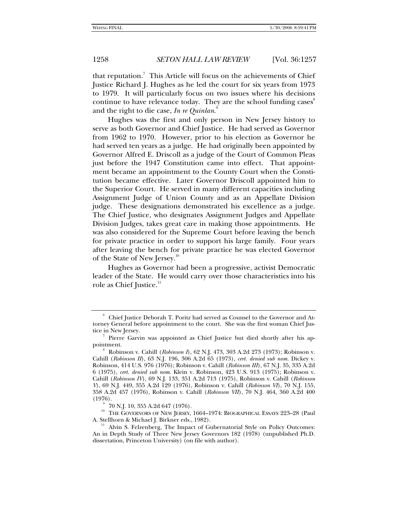that reputation.<sup>7</sup> This Article will focus on the achievements of Chief Justice Richard J. Hughes as he led the court for six years from 1973 to 1979. It will particularly focus on two issues where his decisions continue to have relevance today. They are the school funding cases<sup>8</sup> and the right to die case, *In re Quinlan*. 9

Hughes was the first and only person in New Jersey history to serve as both Governor and Chief Justice. He had served as Governor from 1962 to 1970. However, prior to his election as Governor he had served ten years as a judge. He had originally been appointed by Governor Alfred E. Driscoll as a judge of the Court of Common Pleas just before the 1947 Constitution came into effect. That appointment became an appointment to the County Court when the Constitution became effective. Later Governor Driscoll appointed him to the Superior Court. He served in many different capacities including Assignment Judge of Union County and as an Appellate Division judge. These designations demonstrated his excellence as a judge. The Chief Justice, who designates Assignment Judges and Appellate Division Judges, takes great care in making those appointments. He was also considered for the Supreme Court before leaving the bench for private practice in order to support his large family. Four years after leaving the bench for private practice he was elected Governor of the State of New Jersey.<sup>10</sup>

Hughes as Governor had been a progressive, activist Democratic leader of the State. He would carry over those characteristics into his role as Chief Justice.<sup>11</sup>

<sup>6</sup> Chief Justice Deborah T. Poritz had served as Counsel to the Governor and Attorney General before appointment to the court. She was the first woman Chief Justice in New Jersey.

Pierre Garvin was appointed as Chief Justice but died shortly after his appointment. 8

Robinson v. Cahill (*Robinson I*), 62 N.J. 473, 303 A.2d 273 (1973); Robinson v. Cahill (*Robinson II*), 63 N.J. 196, 306 A.2d 65 (1973), *cert. denied sub nom.* Dickey v. Robinson, 414 U.S. 976 (1976); Robinson v. Cahill (*Robinson III*), 67 N.J. 35, 335 A.2d 6 (1975), *cert. denied sub nom*. Klein v. Robinson, 423 U.S. 913 (1975); Robinson v. Cahill (*Robinson IV*), 69 N.J. 133, 351 A.2d 713 (1975), Robinson v. Cahill (*Robinson V*), 69 N.J. 449, 355 A.2d 129 (1976), Robinson v. Cahill (*Robinson VI*), 70 N.J. 155, 358 A.2d 457 (1976), Robinson v. Cahill (*Robinson VII*), 70 N.J. 464, 360 A.2d 400  $(1976).$ 

 <sup>70</sup> N.J. 10, 355 A.2d 647 (1976).

<sup>&</sup>lt;sup>10</sup> THE GOVERNORS OF NEW JERSEY, 1664–1974: BIOGRAPHICAL ESSAYS 223–28 (Paul A. Stellhorn & Michael J. Birkner eds., 1982).

Alvin S. Felzenberg, The Impact of Gubernatorial Style on Policy Outcomes: An in Depth Study of Three New Jersey Governors 182 (1978) (unpublished Ph.D. dissertation, Princeton University) (on file with author).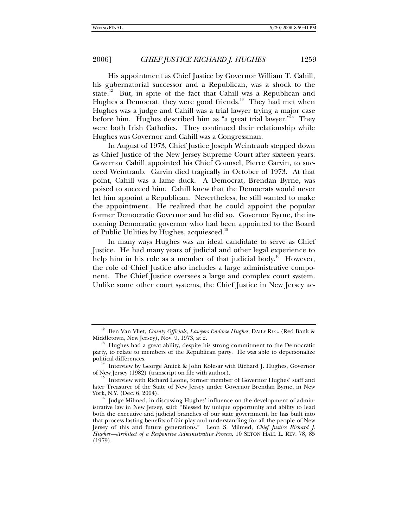His appointment as Chief Justice by Governor William T. Cahill, his gubernatorial successor and a Republican, was a shock to the state.<sup>12</sup> But, in spite of the fact that Cahill was a Republican and Hughes a Democrat, they were good friends.<sup>13</sup> They had met when Hughes was a judge and Cahill was a trial lawyer trying a major case before him. Hughes described him as "a great trial lawyer."<sup>14</sup> They were both Irish Catholics. They continued their relationship while Hughes was Governor and Cahill was a Congressman.

In August of 1973, Chief Justice Joseph Weintraub stepped down as Chief Justice of the New Jersey Supreme Court after sixteen years. Governor Cahill appointed his Chief Counsel, Pierre Garvin, to succeed Weintraub. Garvin died tragically in October of 1973. At that point, Cahill was a lame duck. A Democrat, Brendan Byrne, was poised to succeed him. Cahill knew that the Democrats would never let him appoint a Republican. Nevertheless, he still wanted to make the appointment. He realized that he could appoint the popular former Democratic Governor and he did so. Governor Byrne, the incoming Democratic governor who had been appointed to the Board of Public Utilities by Hughes, acquiesced.<sup>15</sup>

In many ways Hughes was an ideal candidate to serve as Chief Justice. He had many years of judicial and other legal experience to help him in his role as a member of that judicial body.<sup>16</sup> However, the role of Chief Justice also includes a large administrative component. The Chief Justice oversees a large and complex court system. Unlike some other court systems, the Chief Justice in New Jersey ac-

<sup>&</sup>lt;sup>12</sup> Ben Van Vliet, *County Officials, Lawyers Endorse Hughes*, DAILY REG. (Red Bank & Middletown, New Jersey), Nov. 9, 1973, at 2.

 $\delta$  Hughes had a great ability, despite his strong commitment to the Democratic party, to relate to members of the Republican party. He was able to depersonalize political differences.

<sup>&</sup>lt;sup>14</sup> Interview by George Amick & John Kolesar with Richard J. Hughes, Governor of New Jersey (1982) (transcript on file with author).

Interview with Richard Leone, former member of Governor Hughes' staff and later Treasurer of the State of New Jersey under Governor Brendan Byrne, in New<br>York, N.Y. (Dec. 6, 2004).

Judge Milmed, in discussing Hughes' influence on the development of administrative law in New Jersey, said: "Blessed by unique opportunity and ability to lead both the executive and judicial branches of our state government, he has built into that process lasting benefits of fair play and understanding for all the people of New Jersey of this and future generations." Leon S. Milmed, *Chief Justice Richard J. Hughes—Architect of a Responsive Administrative Process*, 10 SETON HALL L. REV. 78, 85 (1979).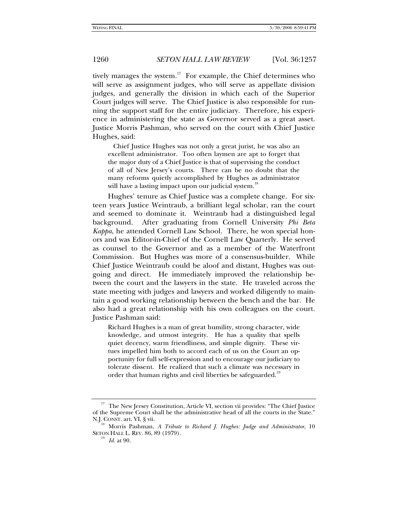tively manages the system.<sup>17</sup> For example, the Chief determines who will serve as assignment judges, who will serve as appellate division judges, and generally the division in which each of the Superior Court judges will serve. The Chief Justice is also responsible for running the support staff for the entire judiciary. Therefore, his experience in administering the state as Governor served as a great asset. Justice Morris Pashman, who served on the court with Chief Justice Hughes, said:

 Chief Justice Hughes was not only a great jurist, he was also an excellent administrator. Too often laymen are apt to forget that the major duty of a Chief Justice is that of supervising the conduct of all of New Jersey's courts. There can be no doubt that the many reforms quietly accomplished by Hughes as administrator will have a lasting impact upon our judicial system.<sup>18</sup>

Hughes' tenure as Chief Justice was a complete change. For sixteen years Justice Weintraub, a brilliant legal scholar, ran the court and seemed to dominate it. Weintraub had a distinguished legal background. After graduating from Cornell University *Phi Beta Kappa*, he attended Cornell Law School. There, he won special honors and was Editor-in-Chief of the Cornell Law Quarterly. He served as counsel to the Governor and as a member of the Waterfront Commission. But Hughes was more of a consensus-builder. While Chief Justice Weintraub could be aloof and distant, Hughes was outgoing and direct. He immediately improved the relationship between the court and the lawyers in the state. He traveled across the state meeting with judges and lawyers and worked diligently to maintain a good working relationship between the bench and the bar. He also had a great relationship with his own colleagues on the court. Justice Pashman said:

Richard Hughes is a man of great humility, strong character, wide knowledge, and utmost integrity. He has a quality that spells quiet decency, warm friendliness, and simple dignity. These virtues impelled him both to accord each of us on the Court an opportunity for full self-expression and to encourage our judiciary to tolerate dissent. He realized that such a climate was necessary in order that human rights and civil liberties be safeguarded.<sup>19</sup>

<sup>&</sup>lt;sup>17</sup> The New Jersey Constitution, Article VI, section vii provides: "The Chief Justice of the Supreme Court shall be the administrative head of all the courts in the State." N.J. CONST. art. VI, § vii. 18 Morris Pashman, *A Tribute to Richard J. Hughes: Judge and Administrator*, 10

SETON HALL L. REV. 86, 89 (1979). 19 *Id.* at 90.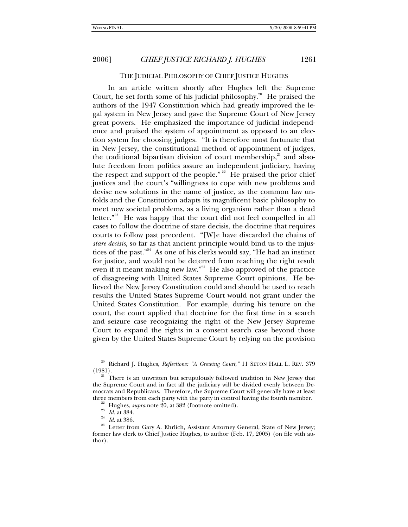### THE JUDICIAL PHILOSOPHY OF CHIEF JUSTICE HUGHES

In an article written shortly after Hughes left the Supreme Court, he set forth some of his judicial philosophy.<sup>20</sup> He praised the authors of the 1947 Constitution which had greatly improved the legal system in New Jersey and gave the Supreme Court of New Jersey great powers. He emphasized the importance of judicial independence and praised the system of appointment as opposed to an election system for choosing judges. "It is therefore most fortunate that in New Jersey, the constitutional method of appointment of judges, the traditional bipartisan division of court membership, $^{21}$  and absolute freedom from politics assure an independent judiciary, having the respect and support of the people."<sup>22</sup> He praised the prior chief justices and the court's "willingness to cope with new problems and devise new solutions in the name of justice, as the common law unfolds and the Constitution adapts its magnificent basic philosophy to meet new societal problems, as a living organism rather than a dead letter."<sup>23</sup> He was happy that the court did not feel compelled in all cases to follow the doctrine of stare decisis, the doctrine that requires courts to follow past precedent. "[W]e have discarded the chains of *stare decisis*, so far as that ancient principle would bind us to the injustices of the past."<sup>24</sup> As one of his clerks would say, "He had an instinct for justice, and would not be deterred from reaching the right result even if it meant making new law."<sup>25</sup> He also approved of the practice of disagreeing with United States Supreme Court opinions. He believed the New Jersey Constitution could and should be used to reach results the United States Supreme Court would not grant under the United States Constitution. For example, during his tenure on the court, the court applied that doctrine for the first time in a search and seizure case recognizing the right of the New Jersey Supreme Court to expand the rights in a consent search case beyond those given by the United States Supreme Court by relying on the provision

<sup>20</sup> Richard J. Hughes, *Reflections: "A Growing Court*,*"* 11 SETON HALL L. REV. 379 (1981).<br><sup>21</sup> There is an unwritten but scrupulously followed tradition in New Jersey that

the Supreme Court and in fact all the judiciary will be divided evenly between Democrats and Republicans. Therefore, the Supreme Court will generally have at least three members from each party with the party in control having the fourth member.

<sup>&</sup>lt;sup>22</sup> Hughes, *supra* note 20, at 382 (footnote omitted).<br><sup>23</sup> *Id.* at 384.<br><sup>24</sup> *Id.* at 386.<br><sup>25</sup> Letter from Gary A. Ehrlich, Assistant Attorney General, State of New Jersey; former law clerk to Chief Justice Hughes, to author (Feb. 17, 2005) (on file with author).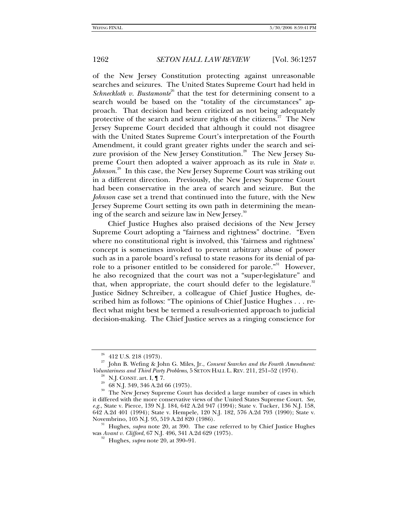of the New Jersey Constitution protecting against unreasonable searches and seizures. The United States Supreme Court had held in *Schneckloth v. Bustamonte*<sup>26</sup> that the test for determining consent to a search would be based on the "totality of the circumstances" approach. That decision had been criticized as not being adequately protective of the search and seizure rights of the citizens.<sup>27</sup> The New Jersey Supreme Court decided that although it could not disagree with the United States Supreme Court's interpretation of the Fourth Amendment, it could grant greater rights under the search and seizure provision of the New Jersey Constitution.<sup>28</sup> The New Jersey Supreme Court then adopted a waiver approach as its rule in *State v. Johnson*. 29 In this case, the New Jersey Supreme Court was striking out in a different direction. Previously, the New Jersey Supreme Court had been conservative in the area of search and seizure. But the *Johnson* case set a trend that continued into the future, with the New Jersey Supreme Court setting its own path in determining the meaning of the search and seizure law in New Jersey.<sup>30</sup>

Chief Justice Hughes also praised decisions of the New Jersey Supreme Court adopting a "fairness and rightness" doctrine. "Even where no constitutional right is involved, this 'fairness and rightness' concept is sometimes invoked to prevent arbitrary abuse of power such as in a parole board's refusal to state reasons for its denial of parole to a prisoner entitled to be considered for parole."<sup>31</sup> However, he also recognized that the court was not a "super-legislature" and that, when appropriate, the court should defer to the legislature. $32$ Justice Sidney Schreiber, a colleague of Chief Justice Hughes, described him as follows: "The opinions of Chief Justice Hughes . . . reflect what might best be termed a result-oriented approach to judicial decision-making. The Chief Justice serves as a ringing conscience for

was *Avant v. Clifford*, 67 N.J. 496, 341 A.2d 629 (1975). 32 Hughes, *supra* note 20, at 390–91.

<sup>26 412</sup> U.S. 218 (1973).

<sup>27</sup> John B. Wefing & John G. Miles, Jr., *Consent Searches and the Fourth Amendment: Voluntariness and Third Party Problems*, 5 SETON HALL L. REV. 211, 251–52 (1974).<br><sup>28</sup> N.J. CONST. art. I, ¶ 7.<br><sup>29</sup> 68 N.J. 349, 346 A.2d 66 (1975).

<sup>&</sup>lt;sup>30</sup> The New Jersey Supreme Court has decided a large number of cases in which it differed with the more conservative views of the United States Supreme Court. *See, e.g.*, State v. Pierce, 139 N.J. 184, 642 A.2d 947 (1994); State v. Tucker, 136 N.J. 158, 642 A.2d 401 (1994); State v. Hempele, 120 N.J. 182, 576 A.2d 793 (1990); State v. Novembrino, 105 N.J. 95, 519 A.2d 820 (1986). 31 Hughes, *supra* note 20, at 390. The case referred to by Chief Justice Hughes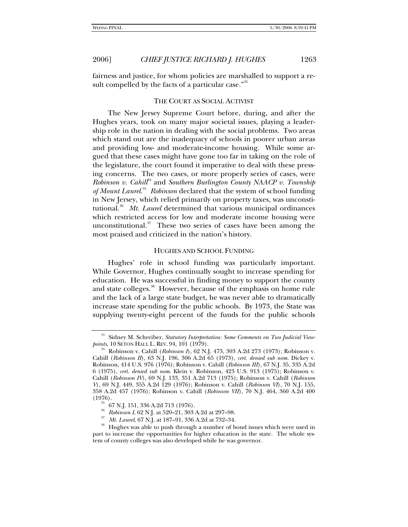fairness and justice, for whom policies are marshalled to support a re-

#### THE COURT AS SOCIAL ACTIVIST

sult compelled by the facts of a particular case."<sup>33</sup>

The New Jersey Supreme Court before, during, and after the Hughes years, took on many major societal issues, playing a leadership role in the nation in dealing with the social problems. Two areas which stand out are the inadequacy of schools in poorer urban areas and providing low- and moderate-income housing. While some argued that these cases might have gone too far in taking on the role of the legislature, the court found it imperative to deal with these pressing concerns. The two cases, or more properly series of cases, were *Robinson v. Cahill*<sup>44</sup> and *Southern Burlington County NAACP v. Township of Mount Laurel*. 35 *Robinson* declared that the system of school funding in New Jersey, which relied primarily on property taxes, was unconstitutional.<sup>36</sup> Mt. Laurel determined that various municipal ordinances which restricted access for low and moderate income housing were unconstitutional.<sup>37</sup> These two series of cases have been among the most praised and criticized in the nation's history.

#### HUGHES AND SCHOOL FUNDING

Hughes' role in school funding was particularly important. While Governor, Hughes continually sought to increase spending for education. He was successful in finding money to support the county and state colleges.<sup>38</sup> However, because of the emphasis on home rule and the lack of a large state budget, he was never able to dramatically increase state spending for the public schools. By 1973, the State was supplying twenty-eight percent of the funds for the public schools

<sup>&</sup>lt;sup>33</sup> Sidney M. Schreiber, *Statutory Interpretation: Some Comments on Two Judicial View-*<br>points, 10 SETON HALL L. REV. 94, 101 (1979).

*Robinson v. Cahill (Robinson I), 62 N.J. 473, 303 A.2d 273 (1973); Robinson v.* Cahill (*Robinson II*), 63 N.J. 196, 306 A.2d 65 (1973), *cert. denied sub nom.* Dickey v. Robinson, 414 U.S. 976 (1976); Robinson v. Cahill (*Robinson III*), 67 N.J. 35, 335 A.2d 6 (1975), *cert. denied sub nom*. Klein v. Robinson, 423 U.S. 913 (1975); Robinson v. Cahill (*Robinson IV*), 69 N.J. 133, 351 A.2d 713 (1975); Robinson v. Cahill (*Robinson V*), 69 N.J. 449, 355 A.2d 129 (1976); Robinson v. Cahill (*Robinson VI*), 70 N.J. 155, 358 A.2d 457 (1976); Robinson v. Cahill (*Robinson VII*), 70 N.J. 464, 360 A.2d 400

 $^{35}$  67 N.J. 151, 336 A.2d 713 (1976).

<sup>&</sup>lt;sup>36</sup> Robinson I, 62 N.J. at 520–21, 303 A.2d at 297–98.<br><sup>37</sup> *Mt. Laurel*, 67 N.J. at 187–91, 336 A.2d at 732–34.<br><sup>38</sup> Hughes was able to push through a number of bond issues which were used in part to increase the opportunities for higher education in the state. The whole system of county colleges was also developed while he was governor.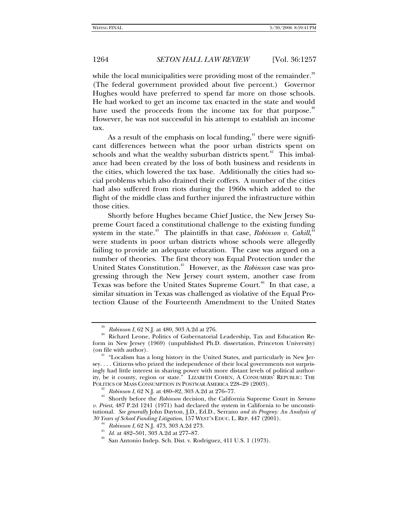while the local municipalities were providing most of the remainder.<sup>39</sup> (The federal government provided about five percent.) Governor Hughes would have preferred to spend far more on those schools. He had worked to get an income tax enacted in the state and would have used the proceeds from the income tax for that purpose.<sup>40</sup> However, he was not successful in his attempt to establish an income tax.

As a result of the emphasis on local funding, $41$  there were significant differences between what the poor urban districts spent on schools and what the wealthy suburban districts spent.<sup> $42$ </sup> This imbalance had been created by the loss of both business and residents in the cities, which lowered the tax base. Additionally the cities had social problems which also drained their coffers. A number of the cities had also suffered from riots during the 1960s which added to the flight of the middle class and further injured the infrastructure within those cities.

Shortly before Hughes became Chief Justice, the New Jersey Supreme Court faced a constitutional challenge to the existing funding system in the state.<sup>43</sup> The plaintiffs in that case, *Robinson v. Cahill*,<sup>44</sup> were students in poor urban districts whose schools were allegedly failing to provide an adequate education. The case was argued on a number of theories. The first theory was Equal Protection under the United States Constitution.45 However, as the *Robinson* case was progressing through the New Jersey court system, another case from Texas was before the United States Supreme Court.<sup>46</sup> In that case, a similar situation in Texas was challenged as violative of the Equal Protection Clause of the Fourteenth Amendment to the United States

<sup>&</sup>lt;sup>39</sup> *Robinson I*, 62 N.J. at 480, 303 A.2d at 276.<br><sup>40</sup> Richard Leone, Politics of Gubernatorial Leadership, Tax and Education Reform in New Jersey (1969) (unpublished Ph.D. dissertation, Princeton University)

 $41$  "Localism has a long history in the United States, and particularly in New Jersey. . . . Citizens who prized the independence of their local governments not surprisingly had little interest in sharing power with more distant levels of political authority, be it county, region or state." LIZABETH COHEN, A CONSUMERS' REPUBLIC: THE

<sup>&</sup>lt;sup>42</sup> Robinson I, 62 N.J. at 480–82, 303 A.2d at 276–77.<br><sup>43</sup> Shortly before the *Robinson* decision, the California Supreme Court in *Serrano v. Priest*, 487 P.2d 1241 (1971) had declared the system in California to be unconstitutional. *See generally* John Dayton, J.D., Ed.D., Serrano *and its Progeny: An Analysis of* 

<sup>&</sup>lt;sup>44</sup> Robinson I, 62 N.J. 473, 303 A.2d 273.<br><sup>45</sup> Id. at 482–501, 303 A.2d at 277–87.<br><sup>46</sup> San Antonio Indep. Sch. Dist. v. Rodriguez, 411 U.S. 1 (1973).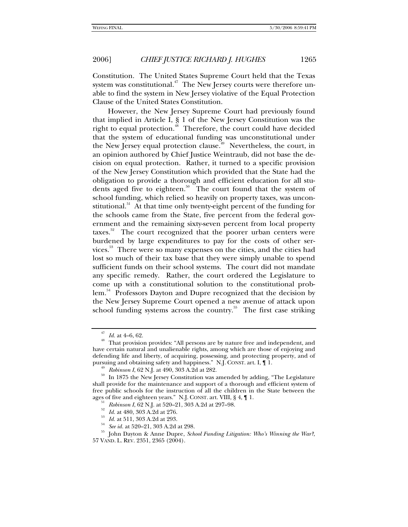Constitution. The United States Supreme Court held that the Texas system was constitutional. $47$  The New Jersey courts were therefore unable to find the system in New Jersey violative of the Equal Protection Clause of the United States Constitution.

However, the New Jersey Supreme Court had previously found that implied in Article I, § 1 of the New Jersey Constitution was the right to equal protection.<sup>48</sup> Therefore, the court could have decided that the system of educational funding was unconstitutional under the New Jersey equal protection clause.<sup>49</sup> Nevertheless, the court, in an opinion authored by Chief Justice Weintraub, did not base the decision on equal protection. Rather, it turned to a specific provision of the New Jersey Constitution which provided that the State had the obligation to provide a thorough and efficient education for all students aged five to eighteen.<sup>50</sup> The court found that the system of school funding, which relied so heavily on property taxes, was unconstitutional.<sup>51</sup> At that time only twenty-eight percent of the funding for the schools came from the State, five percent from the federal government and the remaining sixty-seven percent from local property taxes.<sup>52</sup> The court recognized that the poorer urban centers were burdened by large expenditures to pay for the costs of other services.<sup>53</sup> There were so many expenses on the cities, and the cities had lost so much of their tax base that they were simply unable to spend sufficient funds on their school systems. The court did not mandate any specific remedy. Rather, the court ordered the Legislature to come up with a constitutional solution to the constitutional problem.<sup>54</sup> Professors Dayton and Dupre recognized that the decision by the New Jersey Supreme Court opened a new avenue of attack upon school funding systems across the country.<sup>55</sup> The first case striking

<sup>&</sup>lt;sup>47</sup> *Id.* at 4–6, 62.<br><sup>48</sup> That provision provides: "All persons are by nature free and independent, and have certain natural and unalienable rights, among which are those of enjoying and defending life and liberty, of acquiring, possessing, and protecting property, and of

pursuing and obtaining safety and happiness." N.J. CONST. art. I, ¶ 1.<br><sup>49</sup> *Robinson I*, 62 N.J. at 490, 303 A.2d at 282.<br><sup>50</sup> In 1875 the New Jersey Constitution was amended by adding, "The Legislature" shall provide for the maintenance and support of a thorough and efficient system of free public schools for the instruction of all the children in the State between the ages of five and eighteen years." N.J. CONST. art. VIII,  $\S 4$ ,  $\P 1$ .

<sup>&</sup>lt;sup>51</sup> Robinson I, 62 N.J. at 520–21, 303 A.2d at 297–98.<br><sup>52</sup> Id. at 480, 303 A.2d at 276.<br><sup>53</sup> Id. at 511, 303 A.2d at 293.<br><sup>54</sup> See id. at 520–21, 303 A.2d at 298.<br><sup>55</sup> John Dayton & Anne Dupre, *School Funding Litigatio* 57 VAND. L. REV. 2351, 2365 (2004).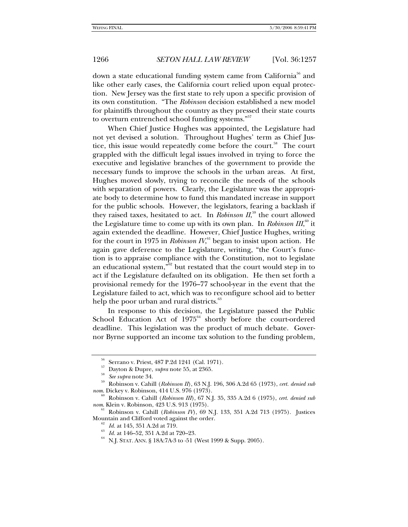down a state educational funding system came from California<sup>56</sup> and like other early cases, the California court relied upon equal protection. New Jersey was the first state to rely upon a specific provision of its own constitution. "The *Robinson* decision established a new model for plaintiffs throughout the country as they pressed their state courts to overturn entrenched school funding systems."<sup>57</sup>

When Chief Justice Hughes was appointed, the Legislature had not yet devised a solution. Throughout Hughes' term as Chief Justice, this issue would repeatedly come before the court.<sup>58</sup> The court grappled with the difficult legal issues involved in trying to force the executive and legislative branches of the government to provide the necessary funds to improve the schools in the urban areas. At first, Hughes moved slowly, trying to reconcile the needs of the schools with separation of powers. Clearly, the Legislature was the appropriate body to determine how to fund this mandated increase in support for the public schools. However, the legislators, fearing a backlash if they raised taxes, hesitated to act. In *Robinson II*,<sup>59</sup> the court allowed the Legislature time to come up with its own plan. In *Robinson III*,<sup>60</sup> it again extended the deadline. However, Chief Justice Hughes, writing for the court in 1975 in *Robinson IV*, $\rm^{61}$  began to insist upon action. He again gave deference to the Legislature, writing, "the Court's function is to appraise compliance with the Constitution, not to legislate an educational system," $62$  but restated that the court would step in to act if the Legislature defaulted on its obligation. He then set forth a provisional remedy for the 1976–77 school-year in the event that the Legislature failed to act, which was to reconfigure school aid to better help the poor urban and rural districts.<sup>8</sup>

In response to this decision, the Legislature passed the Public School Education Act of  $1975^{64}$  shortly before the court-ordered deadline. This legislation was the product of much debate. Governor Byrne supported an income tax solution to the funding problem,

<sup>56</sup> Serrano v. Priest, 487 P.2d 1241 (Cal. 1971).

<sup>57</sup> Dayton & Dupre, *supra* note 55, at 2365. 58 *See supra* note 34. 59 Robinson v. Cahill (*Robinson II*), 63 N.J. 196, 306 A.2d 65 (1973), *cert. denied sub nom*. Dickey v. Robinson, 414 U.S. 976 (1973).

<sup>60</sup> Robinson v. Cahill (*Robinson III*), 67 N.J. 35, 335 A.2d 6 (1975), *cert. denied sub nom*. Klein v. Robinson, 423 U.S. 913 (1975).

<sup>61</sup> Robinson v. Cahill (*Robinson IV*), 69 N.J. 133, 351 A.2d 713 (1975). Justices Mountain and Clifford voted against the order.<br><sup>62</sup> *Id.* at 145, 351 A.2d at 719.<br><sup>63</sup> *Id.* at 146–52, 351 A.2d at 720–23.<br><sup>64</sup> N.J. STAT. ANN. § 18A:7A-3 to -51 (West 1999 & Supp. 2005).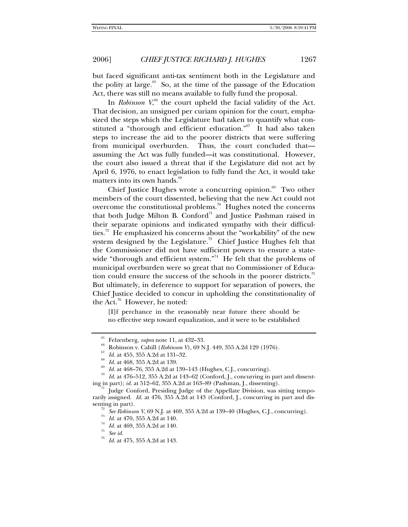but faced significant anti-tax sentiment both in the Legislature and the polity at large.<sup>65</sup> So, at the time of the passage of the Education Act, there was still no means available to fully fund the proposal.

In *Robinson*  $V<sub>1</sub><sup>66</sup>$  the court upheld the facial validity of the Act. That decision, an unsigned per curiam opinion for the court, emphasized the steps which the Legislature had taken to quantify what constituted a "thorough and efficient education."67 It had also taken steps to increase the aid to the poorer districts that were suffering from municipal overburden. Thus, the court concluded that assuming the Act was fully funded—it was constitutional. However, the court also issued a threat that if the Legislature did not act by April 6, 1976, to enact legislation to fully fund the Act, it would take matters into its own hands.<sup>68</sup>

Chief Justice Hughes wrote a concurring opinion. $69$  Two other members of the court dissented, believing that the new Act could not overcome the constitutional problems.70 Hughes noted the concerns that both Judge Milton B. Conford<sup>71</sup> and Justice Pashman raised in their separate opinions and indicated sympathy with their difficulties.<sup>72</sup> He emphasized his concerns about the "workability" of the new system designed by the Legislature.<sup>73</sup> Chief Justice Hughes felt that the Commissioner did not have sufficient powers to ensure a statewide "thorough and efficient system."<sup>74</sup> He felt that the problems of municipal overburden were so great that no Commissioner of Education could ensure the success of the schools in the poorer districts.<sup>75</sup> But ultimately, in deference to support for separation of powers, the Chief Justice decided to concur in upholding the constitutionality of the Act.76 However, he noted:

[I]f perchance in the reasonably near future there should be no effective step toward equalization, and it were to be established

<sup>&</sup>lt;sup>65</sup> Felzenberg, *supra* note 11, at 432–33.<br>
<sup>66</sup> Robinson v. Cahill (*Robinson V*), 69 N.J. 449, 355 A.2d 129 (1976).<br>
<sup>67</sup> *Id.* at 455, 355 A.2d at 131–32.<br>
<sup>68</sup> *Id.* at 468, 355 A.2d at 139.<br>
<sup>69</sup> *Id.* at 468–76, 3

Judge Conford, Presiding Judge of the Appellate Division, was sitting temporarily assigned. *Id.* at 476, 355 A.2d at 143 (Conford, J., concurring in part and dissenting in part).<br><sup>72</sup> See Robinson V, 69 N.J. at 469, 355 A.2d at 139–40 (Hughes, C.J., concurring).<br><sup>73</sup> Id. at 470, 355 A.2d at 140.<br><sup>74</sup> See id.<br><sup>75</sup> See id.

*Id.* at 475, 355 A.2d at 143.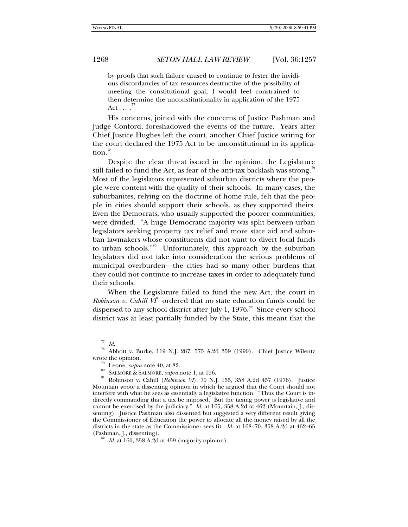by proofs that such failure caused to continue to fester the invidious discordancies of tax resources destructive of the possibility of meeting the constitutional goal, I would feel constrained to then determine the unconstitutionality in application of the 1975  $Act \ldots$ .

His concerns, joined with the concerns of Justice Pashman and Judge Conford, foreshadowed the events of the future. Years after Chief Justice Hughes left the court, another Chief Justice writing for the court declared the 1975 Act to be unconstitutional in its application.<sup>78</sup>

Despite the clear threat issued in the opinion, the Legislature still failed to fund the Act, as fear of the anti-tax backlash was strong.<sup>79</sup> Most of the legislators represented suburban districts where the people were content with the quality of their schools. In many cases, the suburbanites, relying on the doctrine of home rule, felt that the people in cities should support their schools, as they supported theirs. Even the Democrats, who usually supported the poorer communities, were divided. "A huge Democratic majority was split between urban legislators seeking property tax relief and more state aid and suburban lawmakers whose constituents did not want to divert local funds to urban schools."80 Unfortunately, this approach by the suburban legislators did not take into consideration the serious problems of municipal overburden—the cities had so many other burdens that they could not continue to increase taxes in order to adequately fund their schools.

When the Legislature failed to fund the new Act, the court in *Robinson v. Cahill*  $V_I^{\mathbb{N}}$  ordered that no state education funds could be dispersed to any school district after July 1,  $1976$ .<sup>82</sup> Since every school district was at least partially funded by the State, this meant that the

<sup>77</sup> *Id.*

 $^{78}$  Abbott v. Burke, 119 N.J. 287, 575 A.2d 359 (1990). Chief Justice Wilentz wrote the opinion.

<sup>&</sup>lt;sup>19</sup> Leone, *supra* note 40, at 82.<br><sup>80</sup> SALMORE & SALMORE, *supra* note 1, at 196.<br><sup>81</sup> Robinson v. Cahill (*Robinson VI*), 70 N.J. 155, 358 A.2d 457 (1976). Justice Mountain wrote a dissenting opinion in which he argued that the Court should not interfere with what he sees as essentially a legislative function. "Thus the Court is indirectly commanding that a tax be imposed. But the taxing power is legislative and cannot be exercised by the judiciary." *Id.* at 165, 358 A.2d at 462 (Mountain, J., dissenting). Justice Pashman also dissented but suggested a very different result giving the Commissioner of Education the power to allocate all the money raised by all the districts in the state as the Commissioner sees fit. *Id.* at 168–70, 358 A.2d at 462–65 (Pashman, J., dissenting). 82 *Id.* at 160, 358 A.2d at 459 (majority opinion).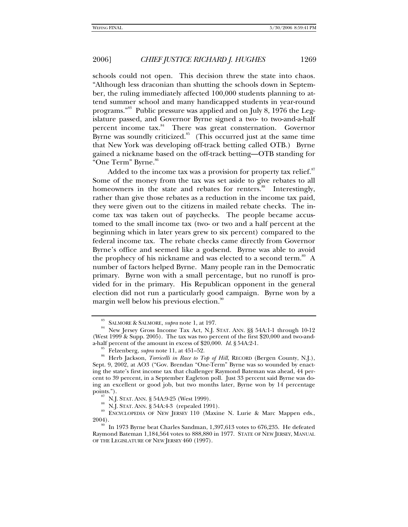schools could not open. This decision threw the state into chaos. "Although less draconian than shutting the schools down in September, the ruling immediately affected 100,000 students planning to attend summer school and many handicapped students in year-round programs."83 Public pressure was applied and on July 8, 1976 the Legislature passed, and Governor Byrne signed a two- to two-and-a-half percent income tax.<sup>84</sup> There was great consternation. Governor Byrne was soundly criticized. $85$  (This occurred just at the same time that New York was developing off-track betting called OTB.) Byrne gained a nickname based on the off-track betting—OTB standing for "One Term" Byrne.<sup>86</sup>

Added to the income tax was a provision for property tax relief. $s^7$ Some of the money from the tax was set aside to give rebates to all homeowners in the state and rebates for renters.<sup>88</sup> Interestingly, rather than give those rebates as a reduction in the income tax paid, they were given out to the citizens in mailed rebate checks. The income tax was taken out of paychecks. The people became accustomed to the small income tax (two- or two and a half percent at the beginning which in later years grew to six percent) compared to the federal income tax. The rebate checks came directly from Governor Byrne's office and seemed like a godsend. Byrne was able to avoid the prophecy of his nickname and was elected to a second term.<sup>89</sup> A number of factors helped Byrne. Many people ran in the Democratic primary. Byrne won with a small percentage, but no runoff is provided for in the primary. His Republican opponent in the general election did not run a particularly good campaign. Byrne won by a margin well below his previous election.<sup>91</sup>

<sup>&</sup>lt;sup>83</sup> SALMORE & SALMORE, *supra* note 1, at 197.<br><sup>84</sup> New Jersey Gross Income Tax Act, N.J. Stat. Ann. §§ 54A:1-1 through 10-12 (West 1999 & Supp. 2005). The tax was two percent of the first \$20,000 and two-and-<br>a-half percent of the amount in excess of \$20,000. Id.  $\S$  54A:2-1.

<sup>&</sup>lt;sup>85</sup> Felzenberg, *supra* note 11, at 451–52.<br><sup>86</sup> Herb Jackson, *Torricelli in Race to Top of Hill*, RECORD (Bergen County, N.J.), Sept. 9, 2002, at AO3 ("Gov. Brendan "One-Term" Byrne was so wounded by enacting the state's first income tax that challenger Raymond Bateman was ahead, 44 percent to 39 percent, in a September Eagleton poll. Just 33 percent said Byrne was doing an excellent or good job, but two months later, Byrne won by 14 percentage

<sup>&</sup>lt;sup>87</sup> N.J. STAT. ANN. § 54A:9-25 (West 1999).<br><sup>88</sup> N.J. STAT. ANN. § 54A:4-3 (repealed 1991).<br><sup>89</sup> ENCYCLOPEDIA OF NEW JERSEY 110 (Maxine N. Lurie & Marc Mappen eds.,<br>2004).

In 1973 Byrne beat Charles Sandman, 1,397,613 votes to 676,235. He defeated Raymond Bateman 1,184,564 votes to 888,880 in 1977. STATE OF NEW JERSEY, MANUAL OF THE LEGISLATURE OF NEW JERSEY 460 (1997).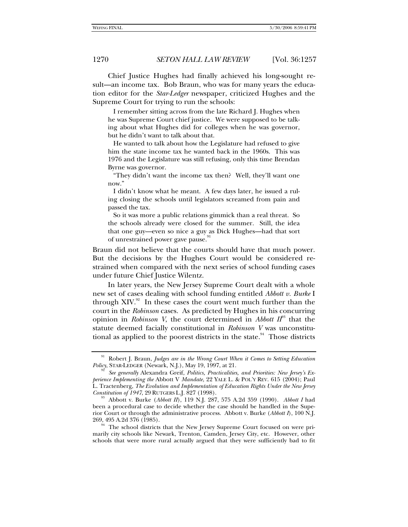Chief Justice Hughes had finally achieved his long-sought result—an income tax. Bob Braun, who was for many years the education editor for the *Star-Ledger* newspaper, criticized Hughes and the Supreme Court for trying to run the schools:

 I remember sitting across from the late Richard J. Hughes when he was Supreme Court chief justice. We were supposed to be talking about what Hughes did for colleges when he was governor, but he didn't want to talk about that.

 He wanted to talk about how the Legislature had refused to give him the state income tax he wanted back in the 1960s. This was 1976 and the Legislature was still refusing, only this time Brendan Byrne was governor.

 "They didn't want the income tax then? Well, they'll want one now."

 I didn't know what he meant. A few days later, he issued a ruling closing the schools until legislators screamed from pain and passed the tax.

 So it was more a public relations gimmick than a real threat. So the schools already were closed for the summer. Still, the idea that one guy—even so nice a guy as Dick Hughes—had that sort of unrestrained power gave pause.

Braun did not believe that the courts should have that much power. But the decisions by the Hughes Court would be considered restrained when compared with the next series of school funding cases under future Chief Justice Wilentz.

In later years, the New Jersey Supreme Court dealt with a whole new set of cases dealing with school funding entitled *Abbott v. Burke* I through  $XIV.^{92}$  In these cases the court went much further than the court in the *Robinson* cases. As predicted by Hughes in his concurring opinion in *Robinson V*, the court determined in *Abbott II*93 that the statute deemed facially constitutional in *Robinson V* was unconstitutional as applied to the poorest districts in the state. $94$  Those districts

<sup>&</sup>lt;sup>91</sup> Robert J. Braun, *Judges are in the Wrong Court When it Comes to Setting Education Policy*, STAR-LEDGER (Newark, N.J.), May 19, 1997, at 21.

*See generally Alexandra Greif, Politics, Practicalities, and Priorities: New Jersey's Experience Implementing the* Abbott V *Mandate*, 22 YALE L. & POL'Y REV. 615 (2004); Paul L. Tractenberg, *The Evolution and Implementation of Education Rights Under the New Jersey Constitution of 1947*, 29 RUTGERS L.J. 827 (1998).<br><sup>93</sup> Abbott v. Burke (*Abbott II*), 119 N.J. 287, 575 A.2d 359 (1990). *Abbott I* had

been a procedural case to decide whether the case should be handled in the Superior Court or through the administrative process. Abbott v. Burke (*Abbott I*), 100 N.J.

<sup>&</sup>lt;sup>94</sup> The school districts that the New Jersey Supreme Court focused on were primarily city schools like Newark, Trenton, Camden, Jersey City, etc. However, other schools that were more rural actually argued that they were sufficiently bad to fit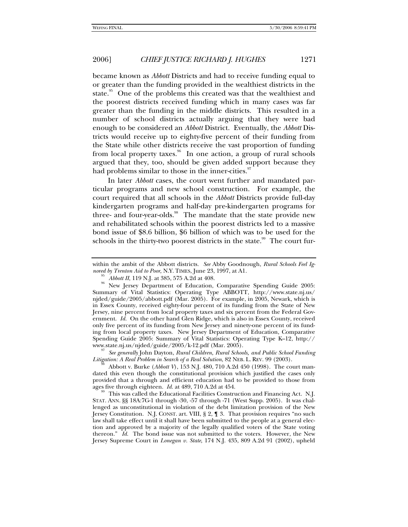became known as *Abbott* Districts and had to receive funding equal to or greater than the funding provided in the wealthiest districts in the state.<sup>95</sup> One of the problems this created was that the wealthiest and the poorest districts received funding which in many cases was far greater than the funding in the middle districts. This resulted in a number of school districts actually arguing that they were bad enough to be considered an *Abbott* District. Eventually, the *Abbott* Districts would receive up to eighty-five percent of their funding from the State while other districts receive the vast proportion of funding from local property taxes.<sup>96</sup> In one action, a group of rural schools argued that they, too, should be given added support because they had problems similar to those in the inner-cities.<sup>97</sup>

In later *Abbott* cases, the court went further and mandated particular programs and new school construction. For example, the court required that all schools in the *Abbott* Districts provide full-day kindergarten programs and half-day pre-kindergarten programs for three- and four-year-olds.<sup>98</sup> The mandate that the state provide new and rehabilitated schools within the poorest districts led to a massive bond issue of \$8.6 billion, \$6 billion of which was to be used for the schools in the thirty-two poorest districts in the state.<sup>99</sup> The court fur-

*Litigation: A Real Problem in Search of a Real Solution*, 82 NEB. L. REV. 99 (2003).<br><sup>98</sup> Abbott v. Burke (*Abbott V*), 153 N.J. 480, 710 A.2d 450 (1998). The court man-

dated this even though the constitutional provision which justified the cases only provided that a through and efficient education had to be provided to those from ages five through eighteen. *Id.* at 489, 710 A.2d at 454.

This was called the Educational Facilities Construction and Financing Act. N.J. STAT. ANN. §§ 18A:7G-1 through -30, -57 through -71 (West Supp. 2005). It was challenged as unconstitutional in violation of the debt limitation provision of the New Jersey Constitution. N.J. CONST. art. VIII, § 2, ¶ 3. That provision requires "no such law shall take effect until it shall have been submitted to the people at a general election and approved by a majority of the legally qualified voters of the State voting thereon." *Id.* The bond issue was not submitted to the voters. However, the New Jersey Supreme Court in *Lonegan v. State*, 174 N.J. 435, 809 A.2d 91 (2002), upheld

within the ambit of the Abbott districts. *See* Abby Goodnough, *Rural Schools Feel Ig-*

*nored by Trenton Aid to Poor*, N.Y. TIMES, June 23, 1997, at A1.<br><sup>95</sup> *Abbott II*, 119 N.J. at 385, 575 A.2d at 408.<br><sup>96</sup> New Jersey Department of Education, Comparative Spending Guide 2005: Summary of Vital Statistics: Operating Type ABBOTT, http://www.state.nj.us/ njded/guide/2005/abbott.pdf (Mar. 2005). For example, in 2005, Newark, which is in Essex County, received eighty-four percent of its funding from the State of New Jersey, nine percent from local property taxes and six percent from the Federal Government. *Id.* On the other hand Glen Ridge, which is also in Essex County, received only five percent of its funding from New Jersey and ninety-one percent of its funding from local property taxes. New Jersey Department of Education, Comparative Spending Guide 2005: Summary of Vital Statistics: Operating Type K–12, http:// www.state.nj.us/njded/guide/2005/k-12.pdf (Mar. 2005). 97 *See generally* John Dayton, *Rural Children, Rural Schools, and Public School Funding*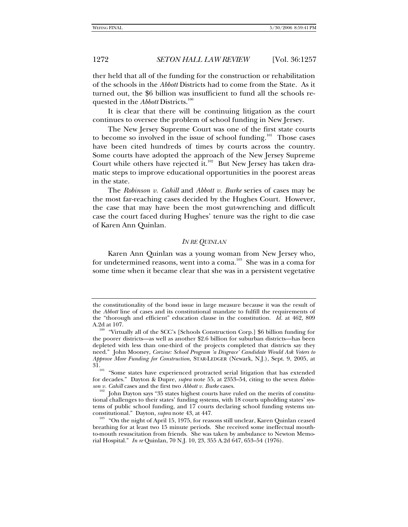ther held that all of the funding for the construction or rehabilitation of the schools in the *Abbott* Districts had to come from the State. As it turned out, the \$6 billion was insufficient to fund all the schools requested in the *Abbott* Districts.<sup>100</sup>

It is clear that there will be continuing litigation as the court continues to oversee the problem of school funding in New Jersey.

The New Jersey Supreme Court was one of the first state courts to become so involved in the issue of school funding.<sup>101</sup> Those cases have been cited hundreds of times by courts across the country. Some courts have adopted the approach of the New Jersey Supreme Court while others have rejected it. $102$  But New Jersey has taken dramatic steps to improve educational opportunities in the poorest areas in the state.

The *Robinson v. Cahill* and *Abbott v. Burke* series of cases may be the most far-reaching cases decided by the Hughes Court. However, the case that may have been the most gut-wrenching and difficult case the court faced during Hughes' tenure was the right to die case of Karen Ann Quinlan.

#### *IN RE QUINLAN*

Karen Ann Quinlan was a young woman from New Jersey who, for undetermined reasons, went into a coma.<sup>103</sup> She was in a coma for some time when it became clear that she was in a persistent vegetative

the constitutionality of the bond issue in large measure because it was the result of the *Abbott* line of cases and its constitutional mandate to fulfill the requirements of the "thorough and efficient" education clause in the constitution. *Id.* at 462, 809 A.2d at 107.<br><sup>100</sup> "Virtually all of the SCC's [Schools Construction Corp.] \$6 billion funding for

the poorer districts—as well as another \$2.6 billion for suburban districts—has been depleted with less than one-third of the projects completed that districts say they need." John Mooney, *Corzine: School Program 'a Disgrace' Candidate Would Ask Voters to Approve More Funding for Construction*, STAR-LEDGER (Newark, N.J.), Sept. 9, 2005, at

<sup>&</sup>lt;sup>101</sup> "Some states have experienced protracted serial litigation that has extended for decades." Dayton & Dupre, *supra* note 55, at 2353–54, citing to the seven *Robinson v. Cahill* cases and the first two *Abbott v. Burke* cases.<br><sup>102</sup> John Dayton says "35 states highest courts have ruled on the merits of constitu-

tional challenges to their states' funding systems, with 18 courts upholding states' systems of public school funding, and 17 courts declaring school funding systems un-<br>constitutional." Dayton, *supra* note 43, at 447.

<sup>&</sup>quot; On the night of April 15, 1975, for reasons still unclear, Karen Quinlan ceased breathing for at least two 15 minute periods. She received some ineffectual mouthto-mouth resuscitation from friends. She was taken by ambulance to Newton Memorial Hospital." *In re* Quinlan, 70 N.J. 10, 23, 355 A.2d 647, 653–54 (1976).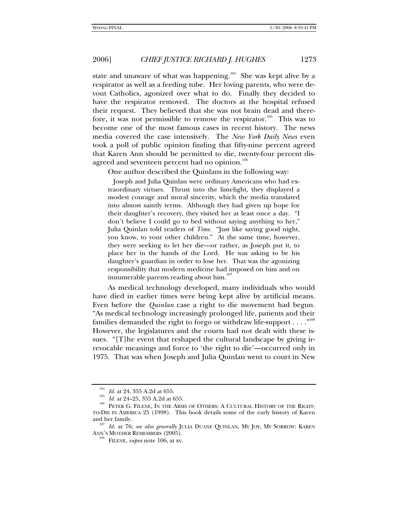state and unaware of what was happening.<sup>104</sup> She was kept alive by a respirator as well as a feeding tube. Her loving parents, who were devout Catholics, agonized over what to do. Finally they decided to have the respirator removed. The doctors at the hospital refused their request. They believed that she was not brain dead and therefore, it was not permissible to remove the respirator.<sup>105</sup> This was to become one of the most famous cases in recent history. The news media covered the case intensively. The *New York Daily News* even took a poll of public opinion finding that fifty-nine percent agreed that Karen Ann should be permitted to die, twenty-four percent disagreed and seventeen percent had no opinion.<sup>106</sup>

One author described the Quinlans in the following way:

 Joseph and Julia Quinlan were ordinary Americans who had extraordinary virtues. Thrust into the limelight, they displayed a modest courage and moral sincerity, which the media translated into almost saintly terms. Although they had given up hope for their daughter's recovery, they visited her at least once a day. "I don't believe I could go to bed without saying anything to her," Julia Quinlan told readers of *Time*. "Just like saying good night, you know, to your other children." At the same time, however, they were seeking to let her die—or rather, as Joseph put it, to place her in the hands of the Lord. He was asking to be his daughter's guardian in order to lose her. That was the agonizing responsibility that modern medicine had imposed on him and on innumerable parents reading about him.<sup>107</sup>

As medical technology developed, many individuals who would have died in earlier times were being kept alive by artificial means. Even before the *Quinlan* case a right to die movement had begun. "As medical technology increasingly prolonged life, patients and their families demanded the right to forgo or withdraw life-support  $\dots$ ."<sup>108</sup> However, the legislatures and the courts had not dealt with these issues. "[T]he event that reshaped the cultural landscape by giving irrevocable meanings and force to 'the right to die'—occurred only in 1975. That was when Joseph and Julia Quinlan went to court in New

<sup>&</sup>lt;sup>104</sup> *Id.* at 24, 355 A.2d at 655.<br><sup>105</sup> *Id.* at 24–25, 355 A.2d at 655. <br><sup>106</sup> PETER G. FILENE, IN THE ARMS OF OTHERS: A CULTURAL HISTORY OF THE RIGHT-TO-DIE IN AMERICA 25 (1998). This book details some of the early history of Karen

and her family. 107 *Id.* at 76; *see also generally* JULIA DUANE QUINLAN, MY JOY, MY SORROW: KAREN ANN'S MOTHER REMEMBERS (2005). 108 FILENE, *supra* note 106, at xv.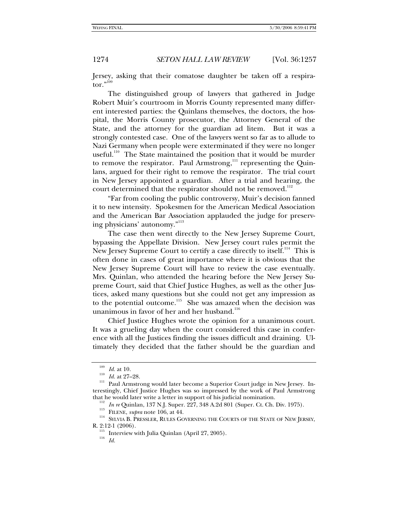Jersey, asking that their comatose daughter be taken off a respirator."<sup>109</sup>

The distinguished group of lawyers that gathered in Judge Robert Muir's courtroom in Morris County represented many different interested parties: the Quinlans themselves, the doctors, the hospital, the Morris County prosecutor, the Attorney General of the State, and the attorney for the guardian ad litem. But it was a strongly contested case. One of the lawyers went so far as to allude to Nazi Germany when people were exterminated if they were no longer useful.<sup>110</sup> The State maintained the position that it would be murder to remove the respirator. Paul Armstrong,<sup>111</sup> representing the Quinlans, argued for their right to remove the respirator. The trial court in New Jersey appointed a guardian. After a trial and hearing, the court determined that the respirator should not be removed.<sup>112</sup>

"Far from cooling the public controversy, Muir's decision fanned it to new intensity. Spokesmen for the American Medical Association and the American Bar Association applauded the judge for preserving physicians' autonomy."<sup>113</sup>

The case then went directly to the New Jersey Supreme Court, bypassing the Appellate Division. New Jersey court rules permit the New Jersey Supreme Court to certify a case directly to itself.<sup>114</sup> This is often done in cases of great importance where it is obvious that the New Jersey Supreme Court will have to review the case eventually. Mrs. Quinlan, who attended the hearing before the New Jersey Supreme Court, said that Chief Justice Hughes, as well as the other Justices, asked many questions but she could not get any impression as to the potential outcome.<sup>115</sup> She was amazed when the decision was unanimous in favor of her and her husband.<sup>116</sup>

Chief Justice Hughes wrote the opinion for a unanimous court. It was a grueling day when the court considered this case in conference with all the Justices finding the issues difficult and draining. Ultimately they decided that the father should be the guardian and

that he would later write a letter in support of his judicial nomination.<br>
<sup>112</sup> In re Quinlan, 137 N.J. Super. 227, 348 A.2d 801 (Super. Ct. Ch. Div. 1975).<br>
<sup>113</sup> FILENE, *supra* note 106, at 44.<br>
<sup>114</sup> SYLVIA B. PRESSL

<sup>&</sup>lt;sup>109</sup> *Id.* at 10.<br><sup>110</sup> *Id.* at 27–28.<br><sup>111</sup> Paul Armstrong would later become a Superior Court judge in New Jersey. Interestingly, Chief Justice Hughes was so impressed by the work of Paul Armstrong

<sup>&</sup>lt;sup>115</sup> Interview with Julia Quinlan (April 27, 2005).  $\frac{116}{Id}$ .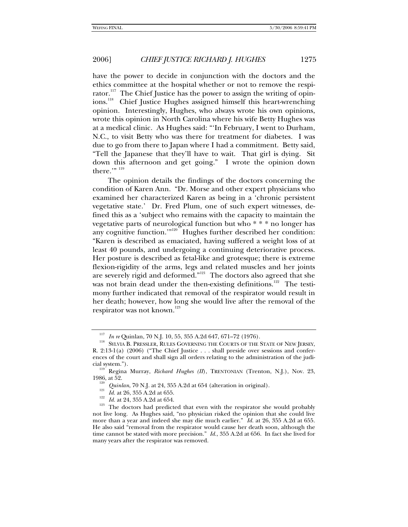have the power to decide in conjunction with the doctors and the ethics committee at the hospital whether or not to remove the respirator.<sup>117</sup> The Chief Justice has the power to assign the writing of opinions.<sup>118</sup> Chief Justice Hughes assigned himself this heart-wrenching opinion. Interestingly, Hughes, who always wrote his own opinions, wrote this opinion in North Carolina where his wife Betty Hughes was at a medical clinic. As Hughes said: "'In February, I went to Durham, N.C., to visit Betty who was there for treatment for diabetes. I was due to go from there to Japan where I had a commitment. Betty said, "Tell the Japanese that they'll have to wait. That girl is dying. Sit down this afternoon and get going." I wrote the opinion down there." $n^{119}$ 

The opinion details the findings of the doctors concerning the condition of Karen Ann. "Dr. Morse and other expert physicians who examined her characterized Karen as being in a 'chronic persistent vegetative state.' Dr. Fred Plum, one of such expert witnesses, defined this as a 'subject who remains with the capacity to maintain the vegetative parts of neurological function but who \* \* \* no longer has any cognitive function.'"120 Hughes further described her condition: "Karen is described as emaciated, having suffered a weight loss of at least 40 pounds, and undergoing a continuing deteriorative process. Her posture is described as fetal-like and grotesque; there is extreme flexion-rigidity of the arms, legs and related muscles and her joints are severely rigid and deformed."<sup>121</sup> The doctors also agreed that she was not brain dead under the then-existing definitions.<sup>122</sup> The testimony further indicated that removal of the respirator would result in her death; however, how long she would live after the removal of the respirator was not known.<sup>123</sup>

<sup>&</sup>lt;sup>117</sup> In re Quinlan, 70 N.J. 10, 55, 355 A.2d 647, 671–72 (1976).<br><sup>118</sup> SYLVIA B. PRESSLER, RULES GOVERNING THE COURTS OF THE STATE OF NEW JERSEY, R. 2:13-1(a) (2006) ("The Chief Justice . . . shall preside over sessions and conferences of the court and shall sign all orders relating to the administration of the judi-

cial system.").<br><sup>119</sup> Regina Murray, *Richard Hughes (II*), TRENTONIAN (Trenton, N.J.), Nov. 23,<br>1986, at 52.

<sup>&</sup>lt;sup>120</sup> *Quinlan*, 70 N.J. at 24, 355 A.2d at 654 (alteration in original).<br><sup>121</sup> *Id.* at 26, 355 A.2d at 655.<br><sup>122</sup> *Id.* at 24, 355 A.2d at 654.<br><sup>123</sup> The doctors had predicted that even with the respirator she would pro not live long. As Hughes said, "no physician risked the opinion that she could live more than a year and indeed she may die much earlier." *Id.* at 26, 355 A.2d at 655. He also said "removal from the respirator would cause her death soon, although the time cannot be stated with more precision." *Id.*, 355 A.2d at 656. In fact she lived for many years after the respirator was removed.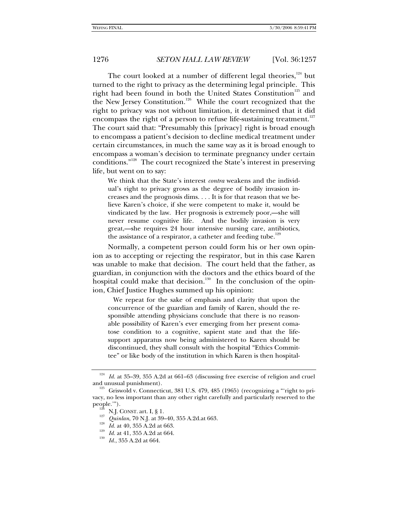The court looked at a number of different legal theories,  $124$  but turned to the right to privacy as the determining legal principle. This right had been found in both the United States Constitution<sup>125</sup> and the New Jersey Constitution.<sup>126</sup> While the court recognized that the right to privacy was not without limitation, it determined that it did encompass the right of a person to refuse life-sustaining treatment.<sup>127</sup> The court said that: "Presumably this [privacy] right is broad enough to encompass a patient's decision to decline medical treatment under certain circumstances, in much the same way as it is broad enough to encompass a woman's decision to terminate pregnancy under certain conditions."128 The court recognized the State's interest in preserving life, but went on to say:

We think that the State's interest *contra* weakens and the individual's right to privacy grows as the degree of bodily invasion increases and the prognosis dims. . . . It is for that reason that we believe Karen's choice, if she were competent to make it, would be vindicated by the law. Her prognosis is extremely poor,—she will never resume cognitive life. And the bodily invasion is very great,—she requires 24 hour intensive nursing care, antibiotics, the assistance of a respirator, a catheter and feeding tube.<sup>129</sup>

Normally, a competent person could form his or her own opinion as to accepting or rejecting the respirator, but in this case Karen was unable to make that decision. The court held that the father, as guardian, in conjunction with the doctors and the ethics board of the hospital could make that decision.<sup>130</sup> In the conclusion of the opinion, Chief Justice Hughes summed up his opinion:

 We repeat for the sake of emphasis and clarity that upon the concurrence of the guardian and family of Karen, should the responsible attending physicians conclude that there is no reasonable possibility of Karen's ever emerging from her present comatose condition to a cognitive, sapient state and that the lifesupport apparatus now being administered to Karen should be discontinued, they shall consult with the hospital "Ethics Committee" or like body of the institution in which Karen is then hospital-

 $^{124}$   $\,$  Id. at 35–39, 355 A.2d at 661–63 (discussing free exercise of religion and cruel and unusual punishment).

Griswold v. Connecticut, 381 U.S. 479, 485 (1965) (recognizing a "'right to privacy, no less important than any other right carefully and particularly reserved to the people.").

<sup>&</sup>lt;sup>126</sup> N.J. CONST. art. I, § 1.<br><sup>127</sup> *Quinlan*, 70 N.J. at 39–40, 355 A.2d.at 663.<br><sup>128</sup> *Id.* at 40, 355 A.2d at 663.<br><sup>129</sup> *Id.* at 41, 355 A.2d at 664.<br>*130 Id.*, 355 A.2d at 664.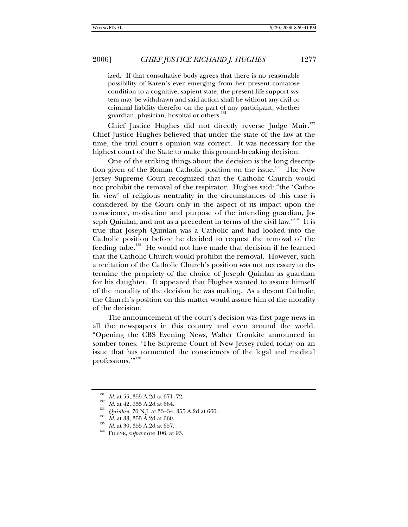ized. If that consultative body agrees that there is no reasonable possibility of Karen's ever emerging from her present comatose condition to a cognitive, sapient state, the present life-support system may be withdrawn and said action shall be without any civil or criminal liability therefor on the part of any participant, whether guardian, physician, hospital or others.<sup>131</sup>

Chief Justice Hughes did not directly reverse Judge Muir.<sup>132</sup> Chief Justice Hughes believed that under the state of the law at the time, the trial court's opinion was correct. It was necessary for the highest court of the State to make this ground-breaking decision.

One of the striking things about the decision is the long description given of the Roman Catholic position on the issue.<sup>133</sup> The New Jersey Supreme Court recognized that the Catholic Church would not prohibit the removal of the respirator. Hughes said: "the 'Catholic view' of religious neutrality in the circumstances of this case is considered by the Court only in the aspect of its impact upon the conscience, motivation and purpose of the intending guardian, Joseph Quinlan, and not as a precedent in terms of the civil law."<sup>134</sup> It is true that Joseph Quinlan was a Catholic and had looked into the Catholic position before he decided to request the removal of the feeding tube.<sup>135</sup> He would not have made that decision if he learned that the Catholic Church would prohibit the removal. However, such a recitation of the Catholic Church's position was not necessary to determine the propriety of the choice of Joseph Quinlan as guardian for his daughter. It appeared that Hughes wanted to assure himself of the morality of the decision he was making. As a devout Catholic, the Church's position on this matter would assure him of the morality of the decision.

The announcement of the court's decision was first page news in all the newspapers in this country and even around the world. "Opening the CBS Evening News, Walter Cronkite announced in somber tones: 'The Supreme Court of New Jersey ruled today on an issue that has tormented the consciences of the legal and medical professions."<sup>136</sup>

<sup>&</sup>lt;sup>131</sup> *Id.* at 55, 355 A.2d at 671–72.<br>
<sup>132</sup> *Id.* at 42, 355 A.2d at 664.<br> *Quinlan*, 70 N.J. at 33–34, 355 A.2d at 660.<br> *Id.* at 33, 355 A.2d at 660.<br> *Id.* at 30, 355 A.2d at 657.<br>
FILENE, *supra* note 106, at 93.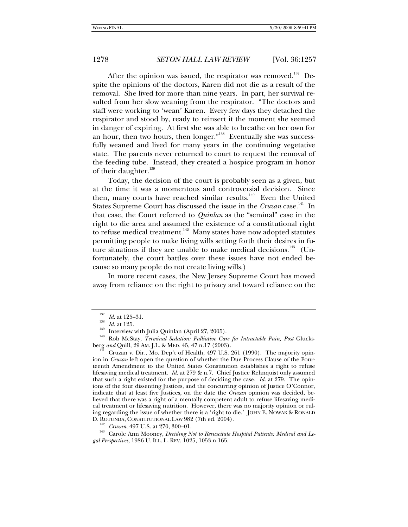After the opinion was issued, the respirator was removed.<sup>137</sup> Despite the opinions of the doctors, Karen did not die as a result of the removal. She lived for more than nine years. In part, her survival resulted from her slow weaning from the respirator. "The doctors and staff were working to 'wean' Karen. Every few days they detached the respirator and stood by, ready to reinsert it the moment she seemed in danger of expiring. At first she was able to breathe on her own for an hour, then two hours, then longer."<sup>138</sup> Eventually she was successfully weaned and lived for many years in the continuing vegetative state. The parents never returned to court to request the removal of the feeding tube. Instead, they created a hospice program in honor of their daughter.<sup>139</sup>

Today, the decision of the court is probably seen as a given, but at the time it was a momentous and controversial decision. Since then, many courts have reached similar results.<sup>140</sup> Even the United States Supreme Court has discussed the issue in the *Cruzan* case.<sup>141</sup> In that case, the Court referred to *Quinlan* as the "seminal" case in the right to die area and assumed the existence of a constitutional right to refuse medical treatment. $142$  Many states have now adopted statutes permitting people to make living wills setting forth their desires in future situations if they are unable to make medical decisions.<sup>143</sup> (Unfortunately, the court battles over these issues have not ended because so many people do not create living wills.)

In more recent cases, the New Jersey Supreme Court has moved away from reliance on the right to privacy and toward reliance on the

<sup>&</sup>lt;sup>137</sup> *Id.* at 125–31.<br><sup>138</sup> *Id.* at 125.<br><sup>139</sup> Interview with Julia Quinlan (April 27, 2005).<br><sup>139</sup> Rob McStay, *Terminal Sedation: Palliative Care for Intractable Pain, Post Glucks-<br>berg <i>and* Quill, 29 AM. J.L. & MED.

Cruzan v. Dir., Mo. Dep't of Health, 497 U.S. 261 (1990). The majority opinion in *Cruzan* left open the question of whether the Due Process Clause of the Fourteenth Amendment to the United States Constitution establishes a right to refuse lifesaving medical treatment. *Id.* at 279 & n.7. Chief Justice Rehnquist only assumed that such a right existed for the purpose of deciding the case. *Id.* at 279. The opinions of the four dissenting Justices, and the concurring opinion of Justice O'Connor, indicate that at least five Justices, on the date the *Cruzan* opinion was decided, believed that there was a right of a mentally competent adult to refuse lifesaving medical treatment or lifesaving nutrition. However, there was no majority opinion or ruling regarding the issue of whether there is a 'right to die.' JOHN E. NOWAK & RONALD

D. ROTUNDA, CONSTITUTIONAL LAW 982 (7th ed. 2004).<br><sup>142</sup> *Cruzan*, 497 U.S. at 270, 300–01.<br><sup>143</sup> Carole Ann Mooney, *Deciding Not to Resuscitate Hospital Patients: Medical and Legal Perspectives*, 1986 U. ILL. L. REV. 1025, 1053 n.165.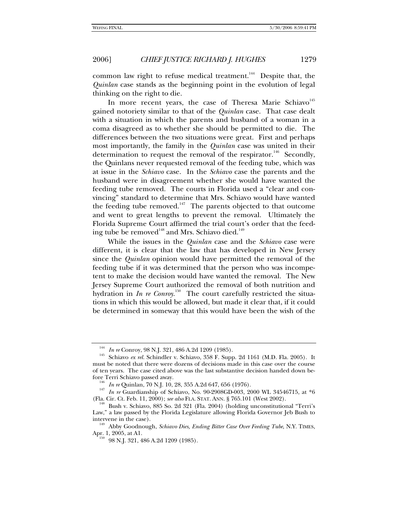common law right to refuse medical treatment.<sup>144</sup> Despite that, the *Quinlan* case stands as the beginning point in the evolution of legal thinking on the right to die.

In more recent years, the case of Theresa Marie Schiavo<sup>145</sup> gained notoriety similar to that of the *Quinlan* case. That case dealt with a situation in which the parents and husband of a woman in a coma disagreed as to whether she should be permitted to die. The differences between the two situations were great. First and perhaps most importantly, the family in the *Quinlan* case was united in their determination to request the removal of the respirator.<sup>146</sup> Secondly, the Quinlans never requested removal of the feeding tube, which was at issue in the *Schiavo* case. In the *Schiavo* case the parents and the husband were in disagreement whether she would have wanted the feeding tube removed. The courts in Florida used a "clear and convincing" standard to determine that Mrs. Schiavo would have wanted the feeding tube removed.<sup>147</sup> The parents objected to that outcome and went to great lengths to prevent the removal. Ultimately the Florida Supreme Court affirmed the trial court's order that the feeding tube be removed<sup>148</sup> and Mrs. Schiavo died.<sup>149</sup>

While the issues in the *Quinlan* case and the *Schiavo* case were different, it is clear that the law that has developed in New Jersey since the *Quinlan* opinion would have permitted the removal of the feeding tube if it was determined that the person who was incompetent to make the decision would have wanted the removal. The New Jersey Supreme Court authorized the removal of both nutrition and hydration in *In re Conroy*.<sup>150</sup> The court carefully restricted the situations in which this would be allowed, but made it clear that, if it could be determined in someway that this would have been the wish of the

<sup>&</sup>lt;sup>144</sup> *In re* Conroy, 98 N.J. 321, 486 A.2d 1209 (1985).<br><sup>145</sup> Schiavo *ex rel*. Schindler v. Schiavo, 358 F. Supp. 2d 1161 (M.D. Fla. 2005). It must be noted that there were dozens of decisions made in this case over the course of ten years. The case cited above was the last substantive decision handed down be-

<sup>&</sup>lt;sup>146</sup> In re Quinlan, 70 N.J. 10, 28, 355 A.2d 647, 656 (1976).<br><sup>147</sup> In re Guardianship of Schiavo, No. 90-2908GD-003, 2000 WL 34546715, at \*6<br>(Fla. Cir. Ct. Feb. 11, 2000); *see also* FLA. STAT. ANN. § 765.101 (West 2002)

<sup>&</sup>lt;sup>148</sup> Bush v. Schiavo, 885 So. 2d 321 (Fla. 2004) (holding unconstitutional "Terri's Law," a law passed by the Florida Legislature allowing Florida Governor Jeb Bush to

intervene in the case). 149 Abby Goodnough, *Schiavo Dies, Ending Bitter Case Over Feeding Tube*, N.Y. TIMES, Apr. 1, 2005, at A1.

 $^{150}$  98 N.J. 321, 486 A.2d 1209 (1985).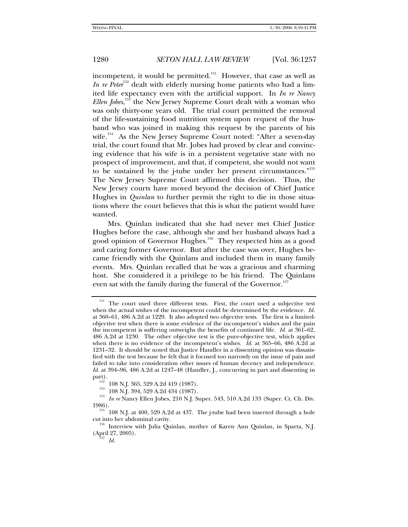incompetent, it would be permitted.<sup>151</sup> However, that case as well as *In re Peter*<sup>152</sup> dealt with elderly nursing home patients who had a limited life expectancy even with the artificial support. In *In re Nancy Ellen Jobes*, 153 the New Jersey Supreme Court dealt with a woman who was only thirty-one years old. The trial court permitted the removal of the life-sustaining food nutrition system upon request of the husband who was joined in making this request by the parents of his wife.<sup>154</sup> As the New Jersey Supreme Court noted: "After a seven-day trial, the court found that Mr. Jobes had proved by clear and convincing evidence that his wife is in a persistent vegetative state with no prospect of improvement, and that, if competent, she would not want to be sustained by the j-tube under her present circumstances."<sup>155</sup> The New Jersey Supreme Court affirmed this decision. Thus, the New Jersey courts have moved beyond the decision of Chief Justice Hughes in *Quinlan* to further permit the right to die in those situations where the court believes that this is what the patient would have wanted.

Mrs. Quinlan indicated that she had never met Chief Justice Hughes before the case, although she and her husband always had a good opinion of Governor Hughes.<sup>156</sup> They respected him as a good and caring former Governor. But after the case was over, Hughes became friendly with the Quinlans and included them in many family events. Mrs. Quinlan recalled that he was a gracious and charming host. She considered it a privilege to be his friend. The Quinlans even sat with the family during the funeral of the Governor.<sup>157</sup>

<sup>&</sup>lt;sup>151</sup> The court used three different tests. First, the court used a subjective test when the actual wishes of the incompetent could be determined by the evidence. *Id.* at 360–61, 486 A.2d at 1229. It also adopted two objective tests. The first is a limitedobjective test when there is some evidence of the incompetent's wishes and the pain the incompetent is suffering outweighs the benefits of continued life. *Id.* at 361–62, 486 A.2d at 1230. The other objective test is the pure-objective test, which applies when there is no evidence of the incompetent's wishes. *Id.* at 365–66, 486 A.2d at 1231–32. It should be noted that Justice Handler in a dissenting opinion was dissatisfied with the test because he felt that it focused too narrowly on the issue of pain and failed to take into consideration other issues of human decency and independence. *Id.* at 394–96, 486 A.2d at 1247–48 (Handler, J., concurring in part and dissenting in

part).<br><sup>152</sup> 108 N.J. 365, 529 A.2d 419 (1987).<br><sup>153</sup> 108 N.J. 394, 529 A.2d 434 (1987).<br>*In re* Nancy Ellen Jobes, 210 N.J. Super. 543, 510 A.2d 133 (Super. Ct. Ch. Div.<br>1986).

 $155^{6}$  108 N.J. at 400, 529 A.2d at 437. The j-tube had been inserted through a hole

cut into her abdominal cavity. 156 Interview with Julia Quinlan, mother of Karen Ann Quinlan, in Sparta, N.J. (April 27, 2005). 157 *Id.*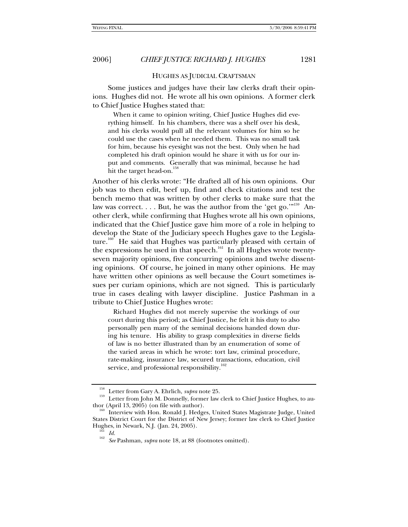HUGHES AS JUDICIAL CRAFTSMAN

Some justices and judges have their law clerks draft their opinions. Hughes did not. He wrote all his own opinions. A former clerk to Chief Justice Hughes stated that:

 When it came to opinion writing, Chief Justice Hughes did everything himself. In his chambers, there was a shelf over his desk, and his clerks would pull all the relevant volumes for him so he could use the cases when he needed them. This was no small task for him, because his eyesight was not the best. Only when he had completed his draft opinion would he share it with us for our input and comments. Generally that was minimal, because he had hit the target head-on.<sup>158</sup>

Another of his clerks wrote: "He drafted all of his own opinions. Our job was to then edit, beef up, find and check citations and test the bench memo that was written by other clerks to make sure that the law was correct. . . . But, he was the author from the 'get go.'"<sup>159</sup> Another clerk, while confirming that Hughes wrote all his own opinions, indicated that the Chief Justice gave him more of a role in helping to develop the State of the Judiciary speech Hughes gave to the Legislature.<sup>160</sup> He said that Hughes was particularly pleased with certain of the expressions he used in that speech.<sup>161</sup> In all Hughes wrote twentyseven majority opinions, five concurring opinions and twelve dissenting opinions. Of course, he joined in many other opinions. He may have written other opinions as well because the Court sometimes issues per curiam opinions, which are not signed. This is particularly true in cases dealing with lawyer discipline. Justice Pashman in a tribute to Chief Justice Hughes wrote:

 Richard Hughes did not merely supervise the workings of our court during this period; as Chief Justice, he felt it his duty to also personally pen many of the seminal decisions handed down during his tenure. His ability to grasp complexities in diverse fields of law is no better illustrated than by an enumeration of some of the varied areas in which he wrote: tort law, criminal procedure, rate-making, insurance law, secured transactions, education, civil service, and professional responsibility.<sup>162</sup>

<sup>&</sup>lt;sup>158</sup> Letter from Gary A. Ehrlich, *supra* note 25.<br><sup>159</sup> Letter from John M. Donnelly, former law clerk to Chief Justice Hughes, to au-<br>thor (April 13, 2005) (on file with author).

Interview with Hon. Ronald J. Hedges, United States Magistrate Judge, United States District Court for the District of New Jersey; former law clerk to Chief Justice Hughes, in Newark, N.J. (Jan. 24, 2005).<br><sup>161</sup> *Id.* <sup>162</sup> See Pashman, *supra* note 18, at 88 (footnotes omitted).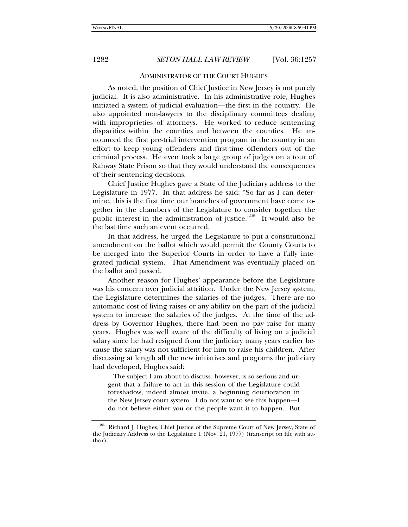#### ADMINISTRATOR OF THE COURT HUGHES

As noted, the position of Chief Justice in New Jersey is not purely judicial. It is also administrative. In his administrative role, Hughes initiated a system of judicial evaluation—the first in the country. He also appointed non-lawyers to the disciplinary committees dealing with improprieties of attorneys. He worked to reduce sentencing disparities within the counties and between the counties. He announced the first pre-trial intervention program in the country in an effort to keep young offenders and first-time offenders out of the criminal process. He even took a large group of judges on a tour of Rahway State Prison so that they would understand the consequences of their sentencing decisions.

Chief Justice Hughes gave a State of the Judiciary address to the Legislature in 1977. In that address he said: "So far as I can determine, this is the first time our branches of government have come together in the chambers of the Legislature to consider together the public interest in the administration of justice."<sup>163</sup> It would also be the last time such an event occurred.

In that address, he urged the Legislature to put a constitutional amendment on the ballot which would permit the County Courts to be merged into the Superior Courts in order to have a fully integrated judicial system. That Amendment was eventually placed on the ballot and passed.

Another reason for Hughes' appearance before the Legislature was his concern over judicial attrition. Under the New Jersey system, the Legislature determines the salaries of the judges. There are no automatic cost of living raises or any ability on the part of the judicial system to increase the salaries of the judges. At the time of the address by Governor Hughes, there had been no pay raise for many years. Hughes was well aware of the difficulty of living on a judicial salary since he had resigned from the judiciary many years earlier because the salary was not sufficient for him to raise his children. After discussing at length all the new initiatives and programs the judiciary had developed, Hughes said:

 The subject I am about to discuss, however, is so serious and urgent that a failure to act in this session of the Legislature could foreshadow, indeed almost invite, a beginning deterioration in the New Jersey court system. I do not want to see this happen—I do not believe either you or the people want it to happen. But

Richard J. Hughes, Chief Justice of the Supreme Court of New Jersey, State of the Judiciary Address to the Legislature 1 (Nov. 21, 1977) (transcript on file with author).